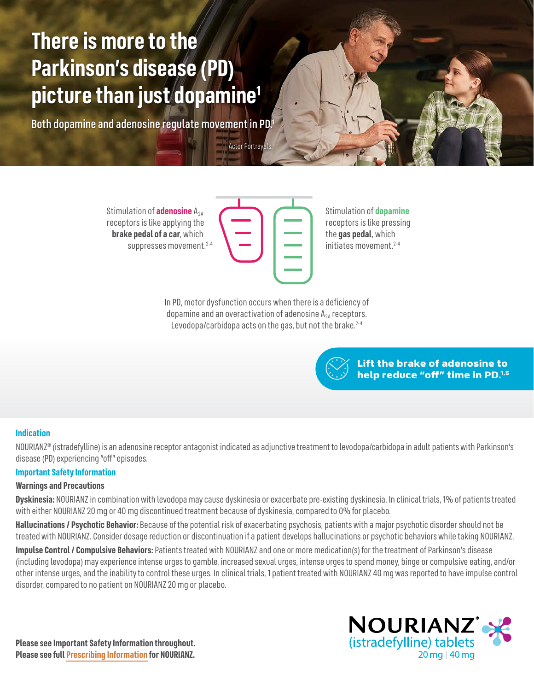# **There is more to the Parkinson's disease (PD) picture than just dopamine1**

Both dopamine and adenosine regulate movement in PD.1

Stimulation of **adenosine** A<sub>2A</sub> receptors is like applying the **brake pedal of a car**, which suppresses movement.<sup>2-4</sup>

**Actor Portrayals** 

Stimulation of **dopamine** receptors is like pressing the **gas pedal**, which initiates movement.2-4

In PD, motor dysfunction occurs when there is a deficiency of dopamine and an overactivation of adenosine  $A_{2A}$  receptors. Levodopa/carbidopa acts on the gas, but not the brake.<sup>2-4</sup>

> Lift the brake of adenosine to help reduce "off" time in PD.<sup>1,5</sup>

## **Indication**

NOURIANZ® (istradefylline) is an adenosine receptor antagonist indicated as adjunctive treatment to levodopa/carbidopa in adult patients with Parkinson's disease (PD) experiencing "off" episodes.

## **Important Safety Information**

#### **Warnings and Precautions**

**Dyskinesia:** NOURIANZ in combination with levodopa may cause dyskinesia or exacerbate pre-existing dyskinesia. In clinical trials, 1% of patients treated with either NOURIANZ 20 mg or 40 mg discontinued treatment because of dyskinesia, compared to 0% for placebo.

**Hallucinations / Psychotic Behavior:** Because of the potential risk of exacerbating psychosis, patients with a major psychotic disorder should not be treated with NOURIANZ. Consider dosage reduction or discontinuation if a patient develops hallucinations or psychotic behaviors while taking NOURIANZ.

**Impulse Control / Compulsive Behaviors:** Patients treated with NOURIANZ and one or more medication(s) for the treatment of Parkinson's disease (including levodopa) may experience intense urges to gamble, increased sexual urges, intense urges to spend money, binge or compulsive eating, and/or other intense urges, and the inability to control these urges. In clinical trials, 1 patient treated with NOURIANZ 40 mg was reported to have impulse control disorder, compared to no patient on NOURIANZ 20 mg or placebo.

**Please see Important Safety Information throughout. Please see ful[l Prescribing Information f](https://www.nourianz.com/assets/pdf/nourianz-full-prescribing-information.pdf)or NOURIANZ.**